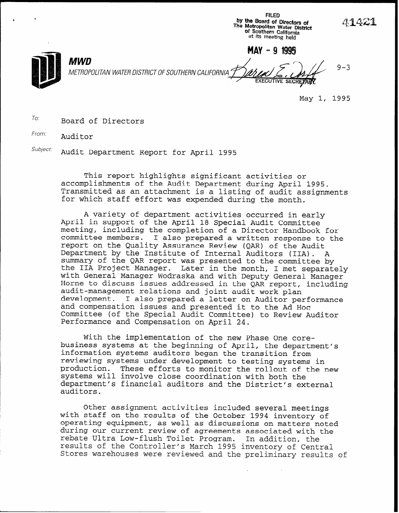by the Board of Directors of<br>The Metropolitan Water Distric of Southern California at its meeting held  $MAV - 9 1995$ MWD 9-3 METROPOLITAN WATER DISTRICT OF SOUTHERN CALIFORNIA

May 1, 1995

FILED

 $\sigma$ <sup>To:</sup> Board of Directors

From: Auditor

Subject: Audit Department Report for April 1995

This report highlights significant activities or accomplishments of the Audit Department during April 1995. Transmitted as an attachment is a listing of audit assignments for which staff effort was expended during the month.

A variety of department activities occurred in early April in support of the April 18 Special Audit Committee meeting, including the completion of a Director Handbook for committee members. I also prepared a written response to the report on the Quality Assurance Review (QAR) of the Audit Department by the Institute of Internal Auditors (IIA). A summary of the QAR report was presented to the committee by the IIA Project Manager. Later in the month, I met separately with General Manager Wodraska and with Deputy General Manager Horne to discuss issues addressed in the QAR report, including audit-management relations and joint audit work plan development. I also prepared a letter on Auditor performance and compensation issues and presented it to the Ad Hoc Committee (of the Special Audit Committee) to Review Auditor Performance and Compensation on April 24.

With the implementation of the new Phase One corebusiness systems at the beginning of April, the department's information systems auditors began the transition from reviewing systems under development to testing systems in production. These efforts to monitor the rollout of the new systems will involve close coordination with both the department's financial auditors and the District's external auditors.

Other assignment activities included several meetings with staff on the results of the October 1994 inventory of operating equipment, as well as discussions on matters noted during our current review of agreements associated with the rebate Ultra Low-flush Toilet Program. In addition, the results of the Controller's March 1995 inventory of Central Stores warehouses were reviewed and the preliminary results of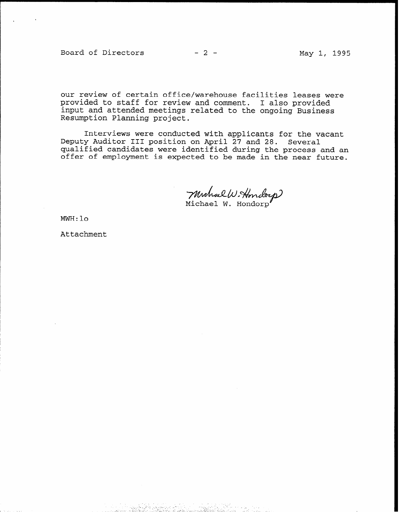Board of Directors

our review of certain office/warehouse facilities leases were provided to staff for review and comment. I also provided input and attended meetings related to the ongoing Business Resumption Planning project.

Interviews were conducted with applicants for the vacant Deputy Auditor III position on April 27 and 28. Several qualified candidates were identified during the process and an offer of employment is expected to be made in the near future.

Michael W. Honderp

 $MWH:10$ 

Attachment